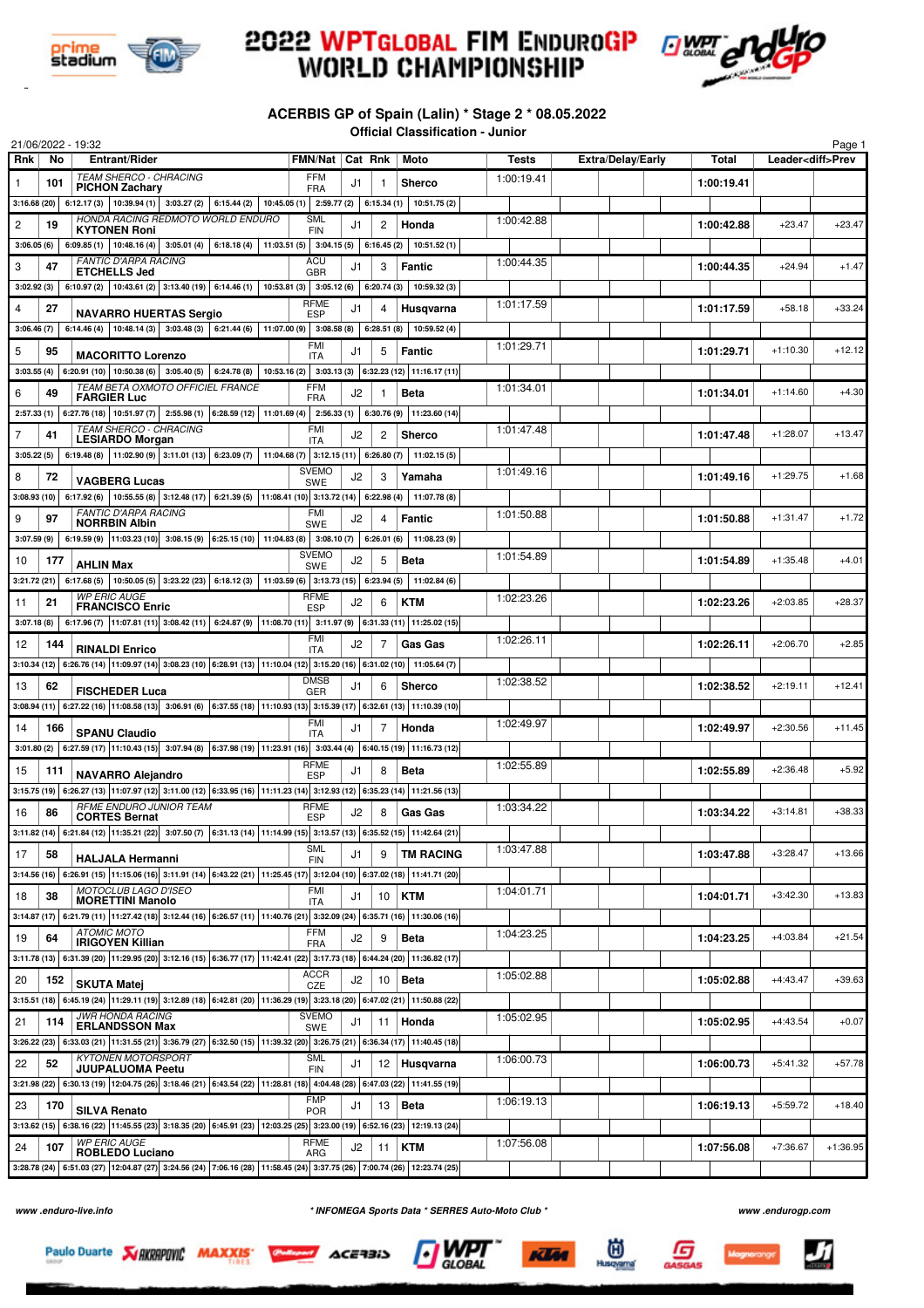

## **2022 WPTGLOBAL FIM ENDUROGP<br>WORLD CHAMPIONSHIP**



## **ACERBIS GP of Spain (Lalin) \* Stage 2 \* 08.05.2022 Official Classification - Junior**

|            |             | 21/06/2022 - 19:32                                                                                                                                 |                            |    |            |                                                           |            |                   |            |                          | Page 1     |
|------------|-------------|----------------------------------------------------------------------------------------------------------------------------------------------------|----------------------------|----|------------|-----------------------------------------------------------|------------|-------------------|------------|--------------------------|------------|
| Rnk        | No          | <b>Entrant/Rider</b>                                                                                                                               | FMN/Nat   Cat Rnk          |    |            | Moto                                                      | Tests      | Extra/Delay/Early | Total      | Leader <diff>Prev</diff> |            |
| 1          | 101         | TEAM SHERCO - CHRACING<br><b>PICHON Zachary</b>                                                                                                    | <b>FFM</b><br><b>FRA</b>   | J1 | 1          | Sherco                                                    | 1:00:19.41 |                   | 1:00:19.41 |                          |            |
|            |             | $3:16.68(20)$ 6:12.17 (3) 10:39.94 (1)<br>$3:03.27(2)$ 6:15.44 (2) 10:45.05 (1) 2:59.77 (2) 6:15.34 (1)                                            |                            |    |            | 10:51.75(2)                                               |            |                   |            |                          |            |
|            |             | HONDA RACING REDMOTO WORLD ENDURO                                                                                                                  | <b>SML</b>                 |    |            |                                                           | 1:00:42.88 |                   |            |                          |            |
| 2          | 19          | <b>KYTONEN Roni</b>                                                                                                                                | <b>FIN</b>                 | J1 | 2          | Honda                                                     |            |                   | 1:00:42.88 | $+23.47$                 | $+23.47$   |
| 3:06.05(6) |             | $6:09.85(1)$ 10:48.16(4)<br>6:18.18 (4)   11:03.51 (5)   3:04.15 (5)  <br>3:05.01(4)                                                               |                            |    | 6:16.45(2) | 10:51.52(1)                                               |            |                   |            |                          |            |
| 3          | 47          | <b>FANTIC D'ARPA RACING</b><br><b>ETCHELLS Jed</b>                                                                                                 | ACU<br><b>GBR</b>          | J1 | 3          | <b>Fantic</b>                                             | 1:00:44.35 |                   | 1:00:44.35 | $+24.94$                 | $+1.47$    |
| 3:02.92(3) |             | 6:10.97 (2)   10:43.61 (2)   3:13.40 (19)   6:14.46 (1)   10:53.81 (3)                                                                             | 3:05.12(6)                 |    | 6:20.74(3) | 10:59.32 (3)                                              |            |                   |            |                          |            |
| 4          | 27          |                                                                                                                                                    | <b>RFME</b>                | J1 | 4          | Husgvarna                                                 | 1:01:17.59 |                   | 1:01:17.59 | $+58.18$                 | $+33.24$   |
| 3:06.46(7) |             | <b>NAVARRO HUERTAS Sergio</b><br>6:14.46 (4)   10:48.14 (3)  <br>3:03.48(3)<br>6:21.44(6)<br>11:07.00(9)                                           | <b>ESP</b><br>3:08.58(8)   |    | 6:28.51(8) | 10:59.52 (4)                                              |            |                   |            |                          |            |
|            |             |                                                                                                                                                    | FMI                        |    |            |                                                           | 1:01:29.71 |                   |            |                          |            |
| 5          | 95          | <b>MACORITTO Lorenzo</b>                                                                                                                           | <b>ITA</b>                 | J1 | 5          | Fantic                                                    |            |                   | 1:01:29.71 | $+1:10.30$               | $+12.12$   |
|            |             | $3.03.55(4)$ 6.20.91 (10) 10.50.38 (6)<br>$3:05.40(5)$ 6:24.78 (8)                                                                                 |                            |    |            | 10:53.16 (2)   3:03.13 (3)   6:32.23 (12)   11:16.17 (11) |            |                   |            |                          |            |
| 6          | 49          | TEAM BETA OXMOTO OFFICIEL FRANCE<br><b>FARGIER Luc</b>                                                                                             | <b>FFM</b><br>FRA          | J2 | -1         | <b>Beta</b>                                               | 1:01:34.01 |                   | 1:01:34.01 | $+1:14.60$               | $+4.30$    |
|            |             | $2:57.33(1)$ 6:27.76 (18) 10:51.97 (7)<br>$2:55.98(1)$ 6:28.59 (12) 11:01.69 (4)                                                                   | 2:56.33(1)                 |    | 6:30.76(9) | 11:23.60(14)                                              |            |                   |            |                          |            |
| 7          | 41          | TEAM SHERCO - CHRACING                                                                                                                             | <b>FMI</b>                 | J2 | 2          | <b>Sherco</b>                                             | 1:01:47.48 |                   | 1:01:47.48 | $+1:28.07$               | $+13.47$   |
|            |             | <b>LESIARDO Morgan</b>                                                                                                                             | <b>ITA</b>                 |    |            |                                                           |            |                   |            |                          |            |
| 3:05.22(5) |             | 6:19.48 (8)   11:02.90 (9)   3:11.01 (13)   6:23.09 (7)   11:04.68 (7)   3:12.15 (11)   6:26.80 (7)                                                |                            |    |            | 11:02.15(5)                                               |            |                   |            |                          |            |
| 8          | 72          | <b>VAGBERG Lucas</b>                                                                                                                               | <b>SVEMO</b><br><b>SWE</b> | J2 | 3          | Yamaha                                                    | 1:01:49.16 |                   | 1:01:49.16 | $+1:29.75$               | $+1.68$    |
|            | 3:08.93(10) | 6:17.92 (6) 10:55.55 (8) 3:12.48 (17) 6:21.39 (5) 11:08.41 (10) 3:13.72 (14)                                                                       |                            |    | 6:22.98(4) | 11:07.78 (8)                                              |            |                   |            |                          |            |
| 9          | 97          | <b>FANTIC D'ARPA RACING</b>                                                                                                                        | FMI                        | J2 | 4          | Fantic                                                    | 1:01:50.88 |                   | 1:01:50.88 | $+1:31.47$               | $+1.72$    |
| 3:07.59(9) |             | <b>NORRBIN Albin</b><br>6:19.59 (9) 11:03.23 (10) 3:08.15 (9) 6:25.15 (10) 11:04.83 (8)                                                            | <b>SWE</b><br>3:08.10(7)   |    | 6:26.01(6) | 11:08.23 (9)                                              |            |                   |            |                          |            |
|            |             |                                                                                                                                                    | <b>SVEMO</b>               |    |            |                                                           | 1:01:54.89 |                   |            |                          |            |
| 10         | 177         | <b>AHLIN Max</b>                                                                                                                                   | <b>SWE</b>                 | J2 | 5          | <b>Beta</b>                                               |            |                   | 1:01:54.89 | $+1:35.48$               | $+4.01$    |
|            |             | 3:21.72 (21) 6:17.68 (5) 10:50.05 (5) 3:23.22 (23) 6:18.12 (3) 11:03.59 (6) 3:13.73 (15) 6:23.94 (5)                                               |                            |    |            | 11:02.84 (6)                                              |            |                   |            |                          |            |
| 11         | 21          | <b>WP ERIC AUGE</b><br><b>FRANCISCO Enric</b>                                                                                                      | <b>RFME</b><br><b>ESP</b>  | J2 | 6          | <b>KTM</b>                                                | 1:02:23.26 |                   | 1:02:23.26 | $+2:03.85$               | $+28.37$   |
| 3:07.18(8) |             | 6:17.96 (7) 11:07.81 (11) 3:08.42 (11) 6:24.87 (9) 11:08.70 (11) 3:11.97 (9) 6:31.33 (11) 11:25.02 (15)                                            |                            |    |            |                                                           |            |                   |            |                          |            |
| 12         | 144         |                                                                                                                                                    | FMI                        | J2 | 7          | <b>Gas Gas</b>                                            | 1:02:26.11 |                   | 1:02:26.11 | $+2:06.70$               | $+2.85$    |
|            |             | <b>RINALDI Enrico</b>                                                                                                                              | <b>ITA</b>                 |    |            |                                                           |            |                   |            |                          |            |
|            |             | 3:10.34 (12) 6:26.76 (14) 11:09.97 (14) 3:08.23 (10) 6:28.91 (13) 11:10.04 (12) 3:15.20 (16) 6:31.02 (10) 11:05.64 (7)                             | <b>DMSB</b>                |    |            |                                                           |            |                   |            |                          |            |
| 13         | 62          | <b>FISCHEDER Luca</b>                                                                                                                              | GER                        | J1 | 6          | <b>Sherco</b>                                             | 1:02:38.52 |                   | 1:02:38.52 | $+2:19.11$               | $+12.41$   |
|            |             | $3:08.94$ (11) $6:27.22$ (16) $ 11:08.58$ (13) $ 3:06.91$ (6) $ 6:37.55$ (18) $ 11:10.93$ (13) $ 3:15.39$ (17) $ 6:32.61$ (13) $ 11:10.39$ (10)    |                            |    |            |                                                           |            |                   |            |                          |            |
| 14         | 166         | <b>SPANU Claudio</b>                                                                                                                               | FMI<br><b>ITA</b>          | J1 | 7          | Honda                                                     | 1:02:49.97 |                   | 1:02:49.97 | $+2:30.56$               | $+11.45$   |
|            |             | $3:01.80(2)$ 6:27.59 (17) 11:10.43 (15) 3:07.94 (8) 6:37.98 (19) 11:23.91 (16) 3:03.44 (4) 6:40.15 (19) 11:16.73 (12)                              |                            |    |            |                                                           |            |                   |            |                          |            |
|            |             |                                                                                                                                                    | <b>RFME</b>                |    |            |                                                           | 1:02:55.89 |                   |            | $+2:36.48$               | $+5.92$    |
| 15         | 111         | <b>NAVARRO Alejandro</b>                                                                                                                           | <b>ESP</b>                 | J1 | 8          | <b>Beta</b>                                               |            |                   | 1:02:55.89 |                          |            |
|            |             | $3:15.75(19)$ 6:26.27 (13) 11:07.97 (12) 3:11.00 (12) 6:33.95 (16) 11:11.23 (14) 3:12.93 (12) 6:35.23 (14) 11:21.56 (13)                           |                            |    |            |                                                           |            |                   |            |                          |            |
| 16         | 86          | <b>RFME ENDURO JUNIOR TEAM</b><br><b>CORTES Bernat</b>                                                                                             | <b>RFME</b><br><b>ESP</b>  | J2 | 8          | <b>Gas Gas</b>                                            | 1:03:34.22 |                   | 1:03:34.22 | $+3:14.81$               | $+38.33$   |
|            |             | $3:11.82(14)$ 6:21.84 (12) 11:35.21 (22) 3:07.50 (7) 6:31.13 (14) 11:14.99 (15) 3:13.57 (13) 6:35.52 (15) 11:42.64 (21)                            |                            |    |            |                                                           |            |                   |            |                          |            |
| 17         | 58          |                                                                                                                                                    | <b>SML</b>                 | J1 | 9          | <b>TM RACING</b>                                          | 1:03:47.88 |                   | 1:03:47.88 | $+3:28.47$               | $+13.66$   |
|            |             | <b>HALJALA Hermanni</b><br>3:14.56 (16) 6:26.91 (15) 11:15.06 (16) 3:11.91 (14) 6:43.22 (21) 11:25.45 (17) 3:12.04 (10) 6:37.02 (18) 11:41.71 (20) | <b>FIN</b>                 |    |            |                                                           |            |                   |            |                          |            |
|            |             | <b>MOTOCLUB LAGO D'ISEO</b>                                                                                                                        | FMI                        |    |            |                                                           | 1:04:01.71 |                   |            |                          |            |
| 18         | 38          | <b>MORETTINI Manolo</b>                                                                                                                            | <b>ITA</b>                 | J1 | 10         | <b>KTM</b>                                                |            |                   | 1:04:01.71 | $+3:42.30$               | $+13.83$   |
|            |             | 3:14.87 (17) 6:21.79 (11) 11:27.42 (18) 3:12.44 (16) 6:26.57 (11) 11:40.76 (21) 3:32.09 (24) 6:35.71 (16) 11:30.06 (16)                            |                            |    |            |                                                           |            |                   |            |                          |            |
| 19         | 64          | <b>ATOMIC MOTO</b><br><b>IRIGOYEN Killian</b>                                                                                                      | <b>FFM</b><br><b>FRA</b>   | J2 | 9          | <b>Beta</b>                                               | 1:04:23.25 |                   | 1:04:23.25 | $+4:03.84$               | $+21.54$   |
|            |             | 3:11.78 (13) 6:31.39 (20) 11:29.95 (20) 3:12.16 (15) 6:36.77 (17) 11:42.41 (22) 3:17.73 (18) 6:44.24 (20) 11:36.82 (17)                            |                            |    |            |                                                           |            |                   |            |                          |            |
| 20         | 152         |                                                                                                                                                    | <b>ACCR</b>                | J2 | 10         | <b>Beta</b>                                               | 1:05:02.88 |                   | 1:05:02.88 | $+4:43.47$               | $+39.63$   |
|            |             | <b>SKUTA Matei</b><br>3:15.51 (18) 6:45.19 (24) 11:29.11 (19) 3:12.89 (18) 6:42.81 (20) 11:36.29 (19) 3:23.18 (20) 6:47.02 (21) 11:50.88 (22)      | CZE                        |    |            |                                                           |            |                   |            |                          |            |
|            |             | <b>JWR HONDA RACING</b>                                                                                                                            | <b>SVEMO</b>               |    |            |                                                           |            |                   |            |                          |            |
| 21         | 114         | <b>ERLANDSSON Max</b>                                                                                                                              | SWE                        | J1 | 11         | Honda                                                     | 1:05:02.95 |                   | 1:05:02.95 | $+4:43.54$               | $+0.07$    |
|            |             | $3:26.22(23)$ 6:33.03 (21) 11:31.55 (21) 3:36.79 (27) 6:32.50 (15) 11:39.32 (20) 3:26.75 (21) 6:36.34 (17) 11:40.45 (18)                           |                            |    |            |                                                           |            |                   |            |                          |            |
| 22         | 52          | <b>KYTONEN MOTORSPORT</b><br><b>JUUPALUOMA Peetu</b>                                                                                               | <b>SML</b><br>FIN          | J1 | 12         | Husqvarna                                                 | 1:06:00.73 |                   | 1:06:00.73 | $+5:41.32$               | $+57.78$   |
|            |             | 3:21.98 (22) 6:30.13 (19) 12:04.75 (26) 3:18.46 (21) 6:43.54 (22) 11:28.81 (18) 4:04.48 (28) 6:47.03 (22) 11:41.55 (19)                            |                            |    |            |                                                           |            |                   |            |                          |            |
|            |             |                                                                                                                                                    | <b>FMP</b>                 |    |            |                                                           | 1:06:19.13 |                   |            |                          |            |
| 23         | 170         | <b>SILVA Renato</b>                                                                                                                                | <b>POR</b>                 | J1 | 13         | <b>Beta</b>                                               |            |                   | 1:06:19.13 | $+5:59.72$               | $+18.40$   |
|            |             | $3:13.62(15)$ 6:38.16 (22) 11:45.55 (23) 3:18.35 (20) 6:45.91 (23) 12:03.25 (25) 3:23.00 (19) 6:52.16 (23) 12:19.13 (24)                           |                            |    |            |                                                           |            |                   |            |                          |            |
| 24         | 107         | <b>WP ERIC AUGE</b><br><b>ROBLEDO Luciano</b>                                                                                                      | <b>RFME</b><br><b>ARG</b>  | J2 | 11         | <b>KTM</b>                                                | 1:07:56.08 |                   | 1:07:56.08 | $+7:36.67$               | $+1:36.95$ |
|            |             | 3:28.78 (24) 6:51.03 (27) 12:04.87 (27) 3:24.56 (24) 7:06.16 (28) 11:58.45 (24) 3:37.75 (26) 7:00.74 (26) 12:23.74 (25)                            |                            |    |            |                                                           |            |                   |            |                          |            |

**www .enduro-live.info \* INFOMEGA Sports Data \* SERRES Auto-Moto Club \* www .endurogp.com**